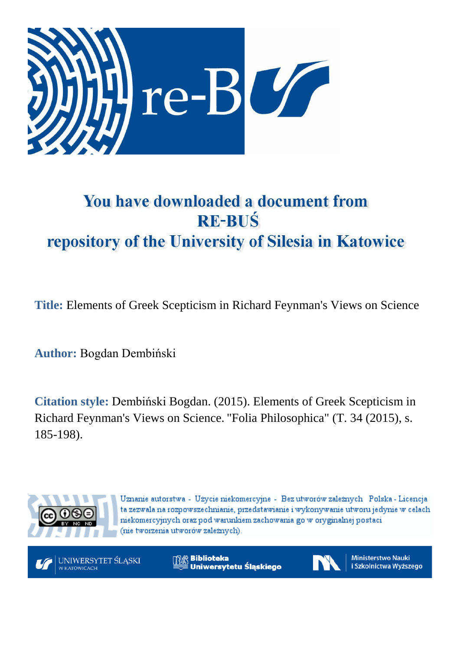

# You have downloaded a document from **RE-BUŚ** repository of the University of Silesia in Katowice

**Title:** Elements of Greek Scepticism in Richard Feynman's Views on Science

**Author:** Bogdan Dembiński

**Citation style:** Dembiński Bogdan. (2015). Elements of Greek Scepticism in Richard Feynman's Views on Science. "Folia Philosophica" (T. 34 (2015), s. 185-198).



Uznanie autorstwa - Użycie niekomercyjne - Bez utworów zależnych Polska - Licencja ta zezwala na rozpowszechnianie, przedstawianie i wykonywanie utworu jedynie w celach niekomercyjnych oraz pod warunkiem zachowania go w oryginalnej postaci (nie tworzenia utworów zależnych).

UNIWERSYTET ŚLĄSKI W KATOWICACH

**Biblioteka** Uniwersytetu Ślaskiego



**Ministerstwo Nauki** i Szkolnictwa Wyższego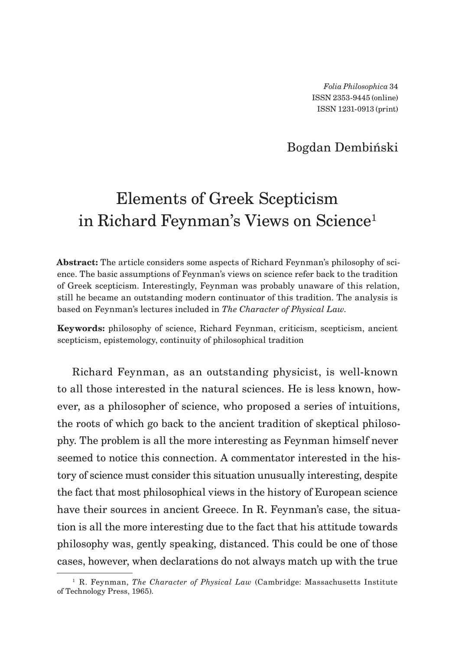*Folia Philosophica* 34 ISSN 2353-9445 (online) ISSN 1231-0913 (print)

### Bogdan Dembiński

## Elements of Greek Scepticism in Richard Feynman's Views on Science<sup>1</sup>

**Abstract:** The article considers some aspects of Richard Feynman's philosophy of science. The basic assumptions of Feynman's views on science refer back to the tradition of Greek scepticism. Interestingly, Feynman was probably unaware of this relation, still he became an outstanding modern continuator of this tradition. The analysis is based on Feynman's lectures included in *The Character of Physical Law*.

**Keywords:** philosophy of science, Richard Feynman, criticism, scepticism, ancient scepticism, epistemology, continuity of philosophical tradition

Richard Feynman, as an outstanding physicist, is well-known to all those interested in the natural sciences. He is less known, however, as a philosopher of science, who proposed a series of intuitions, the roots of which go back to the ancient tradition of skeptical philosophy. The problem is all the more interesting as Feynman himself never seemed to notice this connection. A commentator interested in the history of science must consider this situation unusually interesting, despite the fact that most philosophical views in the history of European science have their sources in ancient Greece. In R. Feynman's case, the situation is all the more interesting due to the fact that his attitude towards philosophy was, gently speaking, distanced. This could be one of those cases, however, when declarations do not always match up with the true

<sup>1</sup> R. Feynman, *The Character of Physical Law* (Cambridge: Massachusetts Institute of Technology Press, 1965).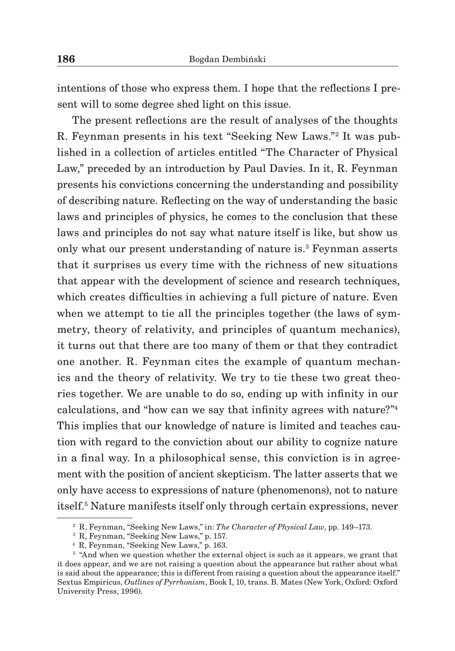intentions of those who express them. I hope that the reflections I present will to some degree shed light on this issue.

The present reflections are the result of analyses of the thoughts R. Feynman presents in his text "Seeking New Laws."2 It was published in a collection of articles entitled "The Character of Physical Law," preceded by an introduction by Paul Davies. In it, R. Feynman presents his convictions concerning the understanding and possibility of describing nature. Reflecting on the way of understanding the basic laws and principles of physics, he comes to the conclusion that these laws and principles do not say what nature itself is like, but show us only what our present understanding of nature is.<sup>3</sup> Feynman asserts that it surprises us every time with the richness of new situations that appear with the development of science and research techniques, which creates difficulties in achieving a full picture of nature. Even when we attempt to tie all the principles together (the laws of symmetry, theory of relativity, and principles of quantum mechanics), it turns out that there are too many of them or that they contradict one another. R. Feynman cites the example of quantum mechanics and the theory of relativity. We try to tie these two great theories together. We are unable to do so, ending up with infinity in our calculations, and "how can we say that infinity agrees with nature?"<sup>4</sup> This implies that our knowledge of nature is limited and teaches caution with regard to the conviction about our ability to cognize nature in a final way. In a philosophical sense, this conviction is in agreement with the position of ancient skepticism. The latter asserts that we only have access to expressions of nature (phenomenons), not to nature itself.5 Nature manifests itself only through certain expressions, never

<sup>2</sup> R, Feynman, "Seeking New Laws," in: *The Character of Physical Law*, pp. 149–173.

<sup>3</sup> R, Feynman, "Seeking New Laws," p. 157.

<sup>4</sup> R, Feynman, "Seeking New Laws," p. 163.

 $5$  "And when we question whether the external object is such as it appears, we grant that it does appear, and we are not raising a question about the appearance but rather about what is said about the appearance; this is different from raising a question about the appearance itself." Sextus Empiricus, *Outlines of Pyrrhonism*, Book I, 10, trans. B. Mates (New York, Oxford: Oxford University Press, 1996).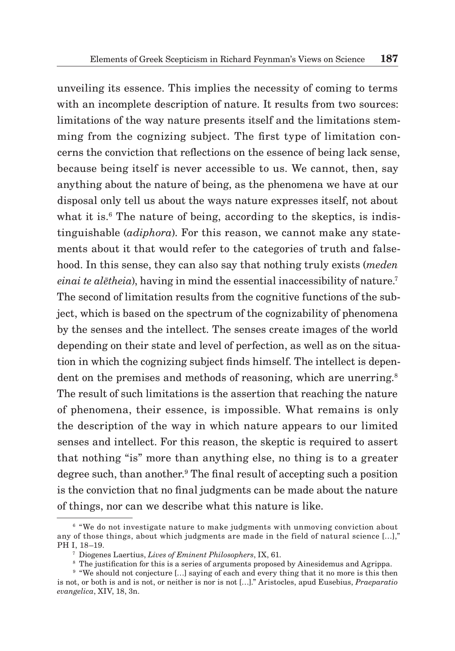unveiling its essence. This implies the necessity of coming to terms with an incomplete description of nature. It results from two sources: limitations of the way nature presents itself and the limitations stemming from the cognizing subject. The first type of limitation concerns the conviction that reflections on the essence of being lack sense, because being itself is never accessible to us. We cannot, then, say anything about the nature of being, as the phenomena we have at our disposal only tell us about the ways nature expresses itself, not about what it is. $6$  The nature of being, according to the skeptics, is indistinguishable (*adiphora*). For this reason, we cannot make any statements about it that would refer to the categories of truth and falsehood. In this sense, they can also say that nothing truly exists (*meden einai te alētheia*), having in mind the essential inaccessibility of nature.<sup>7</sup> The second of limitation results from the cognitive functions of the subject, which is based on the spectrum of the cognizability of phenomena by the senses and the intellect. The senses create images of the world depending on their state and level of perfection, as well as on the situation in which the cognizing subject finds himself. The intellect is dependent on the premises and methods of reasoning, which are unerring.<sup>8</sup> The result of such limitations is the assertion that reaching the nature of phenomena, their essence, is impossible. What remains is only the description of the way in which nature appears to our limited senses and intellect. For this reason, the skeptic is required to assert that nothing "is" more than anything else, no thing is to a greater degree such, than another.<sup>9</sup> The final result of accepting such a position is the conviction that no final judgments can be made about the nature of things, nor can we describe what this nature is like.

<sup>6</sup> "We do not investigate nature to make judgments with unmoving conviction about any of those things, about which judgments are made in the field of natural science […]," PH I, 18–19.

<sup>7</sup> Diogenes Laertius, *Lives of Eminent Philosophers*, IX, 61.

<sup>&</sup>lt;sup>8</sup> The justification for this is a series of arguments proposed by Ainesidemus and Agrippa.

<sup>&</sup>lt;sup>9</sup> "We should not conjecture [...] saying of each and every thing that it no more is this then is not, or both is and is not, or neither is nor is not […]." Aristocles, apud Eusebius, *Praeparatio evangelica*, XIV, 18, 3n.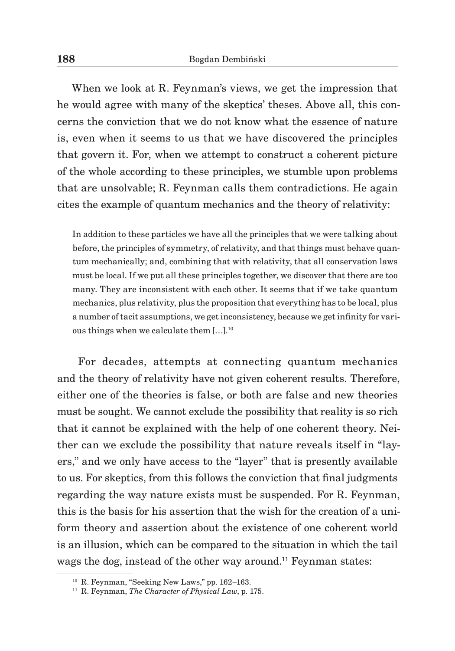When we look at R. Feynman's views, we get the impression that he would agree with many of the skeptics' theses. Above all, this concerns the conviction that we do not know what the essence of nature is, even when it seems to us that we have discovered the principles that govern it. For, when we attempt to construct a coherent picture of the whole according to these principles, we stumble upon problems that are unsolvable; R. Feynman calls them contradictions. He again cites the example of quantum mechanics and the theory of relativity:

In addition to these particles we have all the principles that we were talking about before, the principles of symmetry, of relativity, and that things must behave quantum mechanically; and, combining that with relativity, that all conservation laws must be local. If we put all these principles together, we discover that there are too many. They are inconsistent with each other. It seems that if we take quantum mechanics, plus relativity, plus the proposition that everything has to be local, plus a number oftacit assumptions, we get inconsistency, because we get infinity for various things when we calculate them  $[...]$ <sup>10</sup>

 For decades, attempts at connecting quantum mechanics and the theory of relativity have not given coherent results. Therefore, either one of the theories is false, or both are false and new theories must be sought. We cannot exclude the possibility that reality is so rich that it cannot be explained with the help of one coherent theory. Neither can we exclude the possibility that nature reveals itself in "layers," and we only have access to the "layer" that is presently available to us. For skeptics, from this follows the conviction that final judgments regarding the way nature exists must be suspended. For R. Feynman, this is the basis for his assertion that the wish for the creation of a uniform theory and assertion about the existence of one coherent world is an illusion, which can be compared to the situation in which the tail wags the dog, instead of the other way around.<sup>11</sup> Feynman states:

<sup>&</sup>lt;sup>10</sup> R. Feynman, "Seeking New Laws," pp. 162-163.

<sup>11</sup> R. Feynman, *The Character of Physical Law*, p. 175.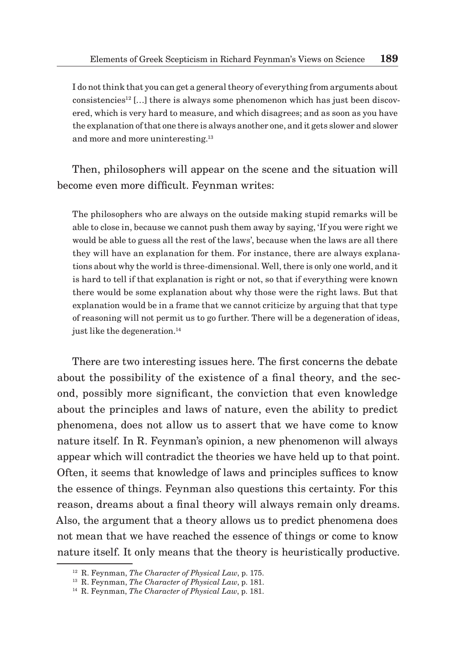I do not think that you can get a general theory of everything from arguments about consistencies<sup>12</sup> [...] there is always some phenomenon which has just been discovered, which is very hard to measure, and which disagrees; and as soon as you have the explanation ofthat one there is always another one, and it gets slower and slower and more and more uninteresting.<sup>13</sup>

Then, philosophers will appear on the scene and the situation will become even more difficult. Feynman writes:

The philosophers who are always on the outside making stupid remarks will be able to close in, because we cannot push them away by saying, 'If you were right we would be able to guess all the rest of the laws', because when the laws are all there they will have an explanation for them. For instance, there are always explanations about why the world is three-dimensional. Well, there is only one world, and it is hard to tell if that explanation is right or not, so that if everything were known there would be some explanation about why those were the right laws. But that explanation would be in a frame that we cannot criticize by arguing that that type of reasoning will not permit us to go further. There will be a degeneration of ideas, just like the degeneration.<sup>14</sup>

There are two interesting issues here. The first concerns the debate about the possibility of the existence of a final theory, and the second, possibly more significant, the conviction that even knowledge about the principles and laws of nature, even the ability to predict phenomena, does not allow us to assert that we have come to know nature itself. In R. Feynman's opinion, a new phenomenon will always appear which will contradict the theories we have held up to that point. Often, it seems that knowledge of laws and principles suffices to know the essence of things. Feynman also questions this certainty. For this reason, dreams about a final theory will always remain only dreams. Also, the argument that a theory allows us to predict phenomena does not mean that we have reached the essence of things or come to know nature itself. It only means that the theory is heuristically productive.

<sup>12</sup> R. Feynman, *The Character of Physical Law*, p. 175.

<sup>13</sup> R. Feynman, *The Character of Physical Law*, p. 181.

<sup>14</sup> R. Feynman, *The Character of Physical Law*, p. 181.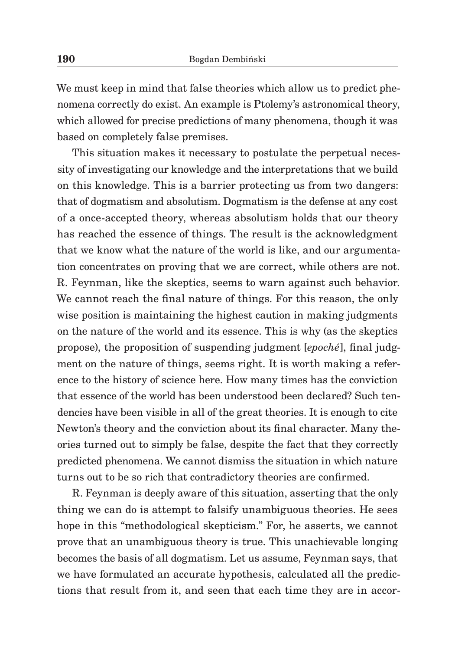We must keep in mind that false theories which allow us to predict phenomena correctly do exist. An example is Ptolemy's astronomical theory, which allowed for precise predictions of many phenomena, though it was based on completely false premises.

This situation makes it necessary to postulate the perpetual necessity of investigating our knowledge and the interpretations that we build on this knowledge. This is a barrier protecting us from two dangers: that of dogmatism and absolutism. Dogmatism is the defense at any cost of a once-accepted theory, whereas absolutism holds that our theory has reached the essence of things. The result is the acknowledgment that we know what the nature of the world is like, and our argumentation concentrates on proving that we are correct, while others are not. R. Feynman, like the skeptics, seems to warn against such behavior. We cannot reach the final nature of things. For this reason, the only wise position is maintaining the highest caution in making judgments on the nature of the world and its essence. This is why (as the skeptics propose), the proposition of suspending judgment [*epoché*], final judgment on the nature of things, seems right. It is worth making a reference to the history of science here. How many times has the conviction that essence of the world has been understood been declared? Such tendencies have been visible in all of the great theories. It is enough to cite Newton's theory and the conviction about its final character. Many theories turned out to simply be false, despite the fact that they correctly predicted phenomena. We cannot dismiss the situation in which nature turns out to be so rich that contradictory theories are confirmed.

R. Feynman is deeply aware of this situation, asserting that the only thing we can do is attempt to falsify unambiguous theories. He sees hope in this "methodological skepticism." For, he asserts, we cannot prove that an unambiguous theory is true. This unachievable longing becomes the basis of all dogmatism. Let us assume, Feynman says, that we have formulated an accurate hypothesis, calculated all the predictions that result from it, and seen that each time they are in accor-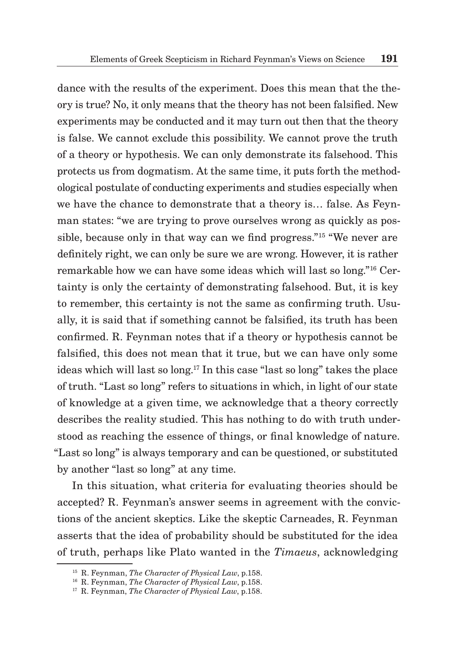dance with the results of the experiment. Does this mean that the theory is true? No, it only means that the theory has not been falsified. New experiments may be conducted and it may turn out then that the theory is false. We cannot exclude this possibility. We cannot prove the truth of a theory or hypothesis. We can only demonstrate its falsehood. This protects us from dogmatism. At the same time, it puts forth the methodological postulate of conducting experiments and studies especially when we have the chance to demonstrate that a theory is… false. As Feynman states: "we are trying to prove ourselves wrong as quickly as possible, because only in that way can we find progress."<sup>15</sup> "We never are definitely right, we can only be sure we are wrong. However, it is rather remarkable how we can have some ideas which will last so long."16 Certainty is only the certainty of demonstrating falsehood. But, it is key to remember, this certainty is not the same as confirming truth. Usually, it is said that if something cannot be falsified, its truth has been confirmed. R. Feynman notes that if a theory or hypothesis cannot be falsified, this does not mean that it true, but we can have only some ideas which will last so long.<sup>17</sup> In this case "last so long" takes the place of truth. "Last so long" refers to situations in which, in light of our state of knowledge at a given time, we acknowledge that a theory correctly describes the reality studied. This has nothing to do with truth understood as reaching the essence of things, or final knowledge of nature. "Last so long" is always temporary and can be questioned, or substituted by another "last so long" at any time.

In this situation, what criteria for evaluating theories should be accepted? R. Feynman's answer seems in agreement with the convictions of the ancient skeptics. Like the skeptic Carneades, R. Feynman asserts that the idea of probability should be substituted for the idea of truth, perhaps like Plato wanted in the *Timaeus*, acknowledging

<sup>15</sup> R. Feynman, *The Character of Physical Law*, p.158.

<sup>16</sup> R. Feynman, *The Character of Physical Law*, p.158.

<sup>17</sup> R. Feynman, *The Character of Physical Law*, p.158.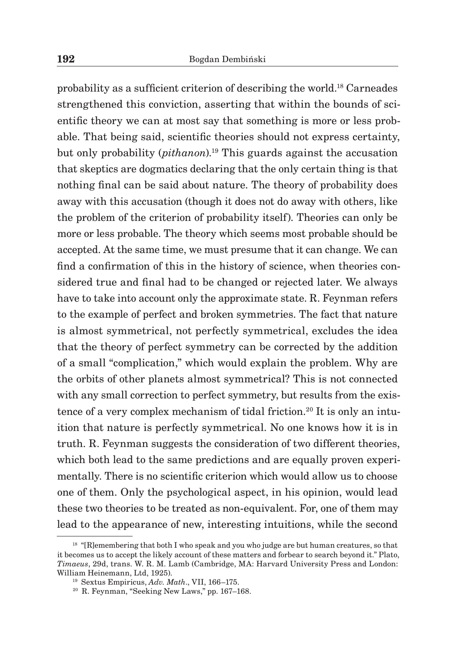probability as a sufficient criterion of describing the world.18 Carneades strengthened this conviction, asserting that within the bounds of scientific theory we can at most say that something is more or less probable. That being said, scientific theories should not express certainty, but only probability (*pithanon*).19 This guards against the accusation that skeptics are dogmatics declaring that the only certain thing is that nothing final can be said about nature. The theory of probability does away with this accusation (though it does not do away with others, like the problem of the criterion of probability itself). Theories can only be more or less probable. The theory which seems most probable should be accepted. At the same time, we must presume that it can change. We can find a confirmation of this in the history of science, when theories considered true and final had to be changed or rejected later. We always have to take into account only the approximate state. R. Feynman refers to the example of perfect and broken symmetries. The fact that nature is almost symmetrical, not perfectly symmetrical, excludes the idea that the theory of perfect symmetry can be corrected by the addition of a small "complication," which would explain the problem. Why are the orbits of other planets almost symmetrical? This is not connected with any small correction to perfect symmetry, but results from the existence of a very complex mechanism of tidal friction.<sup>20</sup> It is only an intuition that nature is perfectly symmetrical. No one knows how it is in truth. R. Feynman suggests the consideration of two different theories, which both lead to the same predictions and are equally proven experimentally. There is no scientific criterion which would allow us to choose one of them. Only the psychological aspect, in his opinion, would lead these two theories to be treated as non-equivalent. For, one of them may lead to the appearance of new, interesting intuitions, while the second

<sup>&</sup>lt;sup>18</sup> "[R]emembering that both I who speak and you who judge are but human creatures, so that it becomes us to accept the likely account of these matters and forbear to search beyond it." Plato, *Timaeus*, 29d, trans. W. R. M. Lamb (Cambridge, MA: Harvard University Press and London: William Heinemann, Ltd, 1925). 19 Sextus Empiricus, *Adv. Math*., VII, 166–175.

<sup>20</sup> R. Feynman, "Seeking New Laws," pp. 167–168.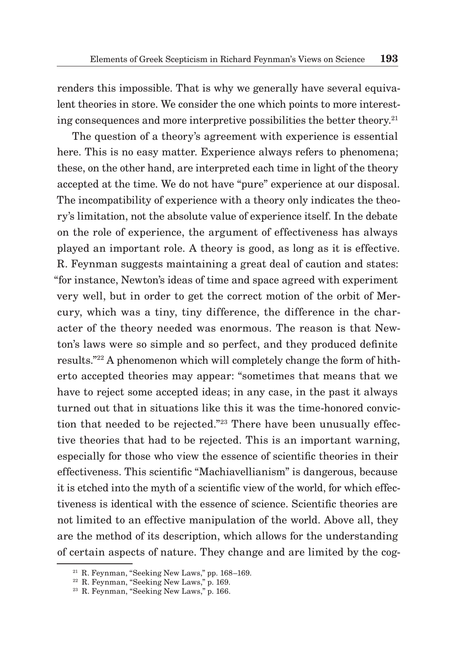renders this impossible. That is why we generally have several equivalent theories in store. We consider the one which points to more interesting consequences and more interpretive possibilities the better theory.<sup>21</sup>

The question of a theory's agreement with experience is essential here. This is no easy matter. Experience always refers to phenomena; these, on the other hand, are interpreted each time in light of the theory accepted at the time. We do not have "pure" experience at our disposal. The incompatibility of experience with a theory only indicates the theory's limitation, not the absolute value of experience itself. In the debate on the role of experience, the argument of effectiveness has always played an important role. A theory is good, as long as it is effective. R. Feynman suggests maintaining a great deal of caution and states: "for instance, Newton's ideas of time and space agreed with experiment very well, but in order to get the correct motion of the orbit of Mercury, which was a tiny, tiny difference, the difference in the character of the theory needed was enormous. The reason is that Newton's laws were so simple and so perfect, and they produced definite results."<sup>22</sup> A phenomenon which will completely change the form of hitherto accepted theories may appear: "sometimes that means that we have to reject some accepted ideas; in any case, in the past it always turned out that in situations like this it was the time-honored conviction that needed to be rejected."<sup>23</sup> There have been unusually effective theories that had to be rejected. This is an important warning, especially for those who view the essence of scientific theories in their effectiveness. This scientific "Machiavellianism" is dangerous, because it is etched into the myth of a scientific view of the world, for which effectiveness is identical with the essence of science. Scientific theories are not limited to an effective manipulation of the world. Above all, they are the method of its description, which allows for the understanding of certain aspects of nature. They change and are limited by the cog-

<sup>21</sup> R. Feynman, "Seeking New Laws," pp. 168–169.

<sup>22</sup> R. Feynman, "Seeking New Laws," p. 169.

<sup>23</sup> R. Feynman, "Seeking New Laws," p. 166.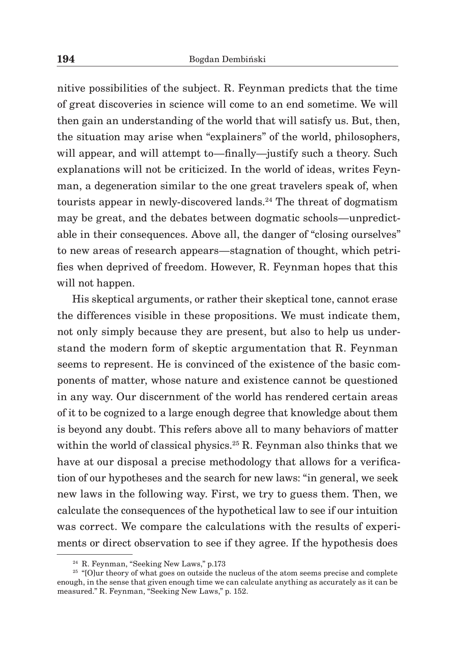nitive possibilities of the subject. R. Feynman predicts that the time of great discoveries in science will come to an end sometime. We will then gain an understanding of the world that will satisfy us. But, then, the situation may arise when "explainers" of the world, philosophers, will appear, and will attempt to—finally—justify such a theory. Such explanations will not be criticized. In the world of ideas, writes Feynman, a degeneration similar to the one great travelers speak of, when tourists appear in newly-discovered lands.<sup>24</sup> The threat of dogmatism may be great, and the debates between dogmatic schools—unpredictable in their consequences. Above all, the danger of "closing ourselves" to new areas of research appears—stagnation of thought, which petrifies when deprived of freedom. However, R. Feynman hopes that this will not happen.

His skeptical arguments, or rather their skeptical tone, cannot erase the differences visible in these propositions. We must indicate them, not only simply because they are present, but also to help us understand the modern form of skeptic argumentation that R. Feynman seems to represent. He is convinced of the existence of the basic components of matter, whose nature and existence cannot be questioned in any way. Our discernment of the world has rendered certain areas of it to be cognized to a large enough degree that knowledge about them is beyond any doubt. This refers above all to many behaviors of matter within the world of classical physics.<sup>25</sup> R. Feynman also thinks that we have at our disposal a precise methodology that allows for a verification of our hypotheses and the search for new laws: "in general, we seek new laws in the following way. First, we try to guess them. Then, we calculate the consequences of the hypothetical law to see if our intuition was correct. We compare the calculations with the results of experiments or direct observation to see if they agree. If the hypothesis does

<sup>24</sup> R. Feynman, "Seeking New Laws," p.173

<sup>&</sup>lt;sup>25</sup> "[O]ur theory of what goes on outside the nucleus of the atom seems precise and complete enough, in the sense that given enough time we can calculate anything as accurately as it can be measured." R. Feynman, "Seeking New Laws," p. 152.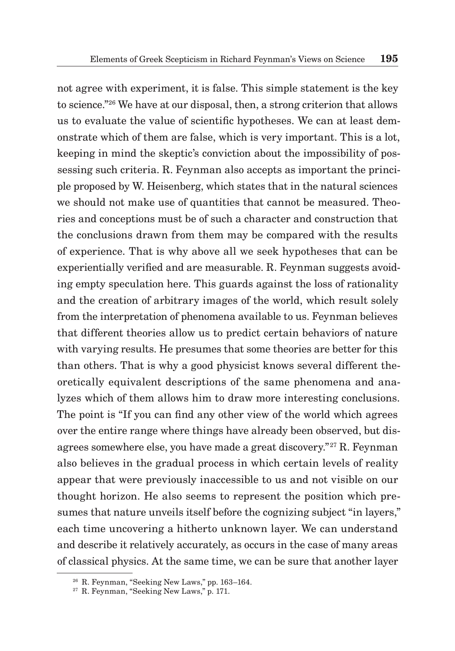not agree with experiment, it is false. This simple statement is the key to science."<sup>26</sup> We have at our disposal, then, a strong criterion that allows us to evaluate the value of scientific hypotheses. We can at least demonstrate which of them are false, which is very important. This is a lot, keeping in mind the skeptic's conviction about the impossibility of possessing such criteria. R. Feynman also accepts as important the principle proposed by W. Heisenberg, which states that in the natural sciences we should not make use of quantities that cannot be measured. Theories and conceptions must be of such a character and construction that the conclusions drawn from them may be compared with the results of experience. That is why above all we seek hypotheses that can be experientially verified and are measurable. R. Feynman suggests avoiding empty speculation here. This guards against the loss of rationality and the creation of arbitrary images of the world, which result solely from the interpretation of phenomena available to us. Feynman believes that different theories allow us to predict certain behaviors of nature with varying results. He presumes that some theories are better for this than others. That is why a good physicist knows several different theoretically equivalent descriptions of the same phenomena and analyzes which of them allows him to draw more interesting conclusions. The point is "If you can find any other view of the world which agrees over the entire range where things have already been observed, but disagrees somewhere else, you have made a great discovery."27 R. Feynman also believes in the gradual process in which certain levels of reality appear that were previously inaccessible to us and not visible on our thought horizon. He also seems to represent the position which presumes that nature unveils itself before the cognizing subject "in layers," each time uncovering a hitherto unknown layer. We can understand and describe it relatively accurately, as occurs in the case of many areas of classical physics. At the same time, we can be sure that another layer

<sup>26</sup> R. Feynman, "Seeking New Laws," pp. 163–164.

<sup>27</sup> R. Feynman, "Seeking New Laws," p. 171.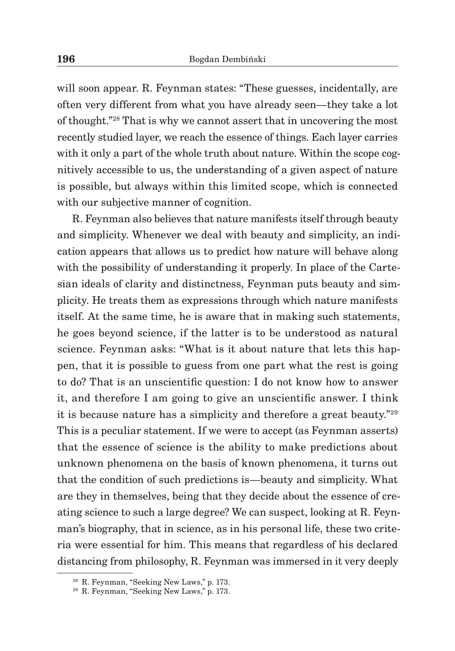will soon appear. R. Feynman states: "These guesses, incidentally, are often very different from what you have already seen—they take a lot of thought."<sup>28</sup> That is why we cannot assert that in uncovering the most recently studied layer, we reach the essence of things. Each layer carries with it only a part of the whole truth about nature. Within the scope cognitively accessible to us, the understanding of a given aspect of nature is possible, but always within this limited scope, which is connected with our subjective manner of cognition.

R. Feynman also believes that nature manifests itself through beauty and simplicity. Whenever we deal with beauty and simplicity, an indication appears that allows us to predict how nature will behave along with the possibility of understanding it properly. In place of the Cartesian ideals of clarity and distinctness, Feynman puts beauty and simplicity. He treats them as expressions through which nature manifests itself. At the same time, he is aware that in making such statements, he goes beyond science, if the latter is to be understood as natural science. Feynman asks: "What is it about nature that lets this happen, that it is possible to guess from one part what the rest is going to do? That is an unscientific question: I do not know how to answer it, and therefore I am going to give an unscientific answer. I think it is because nature has a simplicity and therefore a great beauty."<sup>29</sup> This is a peculiar statement. If we were to accept (as Feynman asserts) that the essence of science is the ability to make predictions about unknown phenomena on the basis of known phenomena, it turns out that the condition of such predictions is—beauty and simplicity. What are they in themselves, being that they decide about the essence of creating science to such a large degree? We can suspect, looking at R. Feynman's biography, that in science, as in his personal life, these two criteria were essential for him. This means that regardless of his declared distancing from philosophy, R. Feynman was immersed in it very deeply

<sup>28</sup> R. Feynman, "Seeking New Laws," p. 173.

<sup>29</sup> R. Feynman, "Seeking New Laws," p. 173.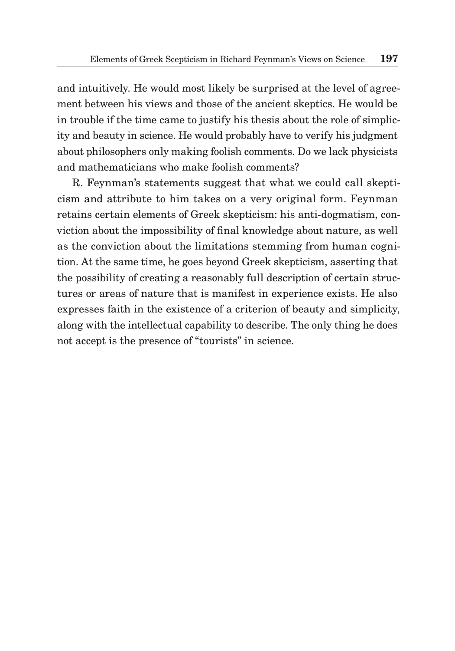and intuitively. He would most likely be surprised at the level of agreement between his views and those of the ancient skeptics. He would be in trouble if the time came to justify his thesis about the role of simplicity and beauty in science. He would probably have to verify his judgment about philosophers only making foolish comments. Do we lack physicists and mathematicians who make foolish comments?

R. Feynman's statements suggest that what we could call skepticism and attribute to him takes on a very original form. Feynman retains certain elements of Greek skepticism: his anti-dogmatism, conviction about the impossibility of final knowledge about nature, as well as the conviction about the limitations stemming from human cognition. At the same time, he goes beyond Greek skepticism, asserting that the possibility of creating a reasonably full description of certain structures or areas of nature that is manifest in experience exists. He also expresses faith in the existence of a criterion of beauty and simplicity, along with the intellectual capability to describe. The only thing he does not accept is the presence of "tourists" in science.